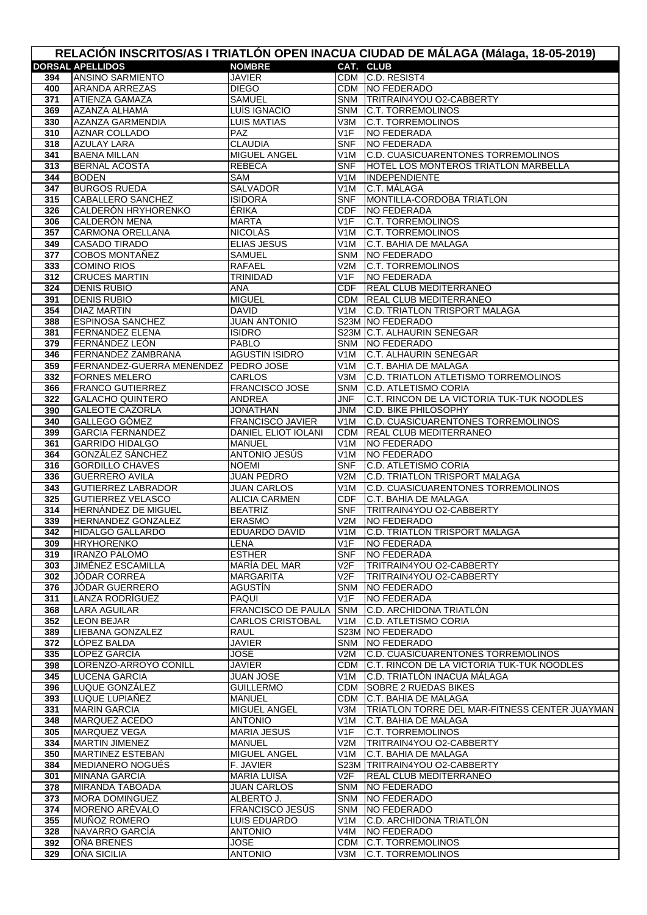| RELACIÓN INSCRITOS/AS I TRIATLÓN OPEN INACUA CIUDAD DE MÁLAGA (Málaga, 18-05-2019) |                                                                |                                                      |                         |                                                              |  |  |  |
|------------------------------------------------------------------------------------|----------------------------------------------------------------|------------------------------------------------------|-------------------------|--------------------------------------------------------------|--|--|--|
|                                                                                    | <b>DORSAL APELLIDOS</b>                                        | <b>NOMBRE</b>                                        |                         | CAT. CLUB                                                    |  |  |  |
| 394                                                                                | <b>ANSINO SARMIENTO</b>                                        | <b>JAVIER</b>                                        |                         | CDM C.D. RESIST4                                             |  |  |  |
| 400                                                                                | <b>ARANDA ARREZAS</b>                                          | <b>DIEGO</b>                                         |                         | CDM NO FEDERADO                                              |  |  |  |
| 371                                                                                | ATIENZA GAMAZA                                                 | <b>SAMUEL</b>                                        | SNM                     | <b>TRITRAIN4YOU O2-CABBERTY</b>                              |  |  |  |
| 369                                                                                | AZANZA ALHAMA<br><b>AZANZA GARMENDIA</b>                       | LUÍS IGNACIO<br><b>LUIS MATIAS</b>                   | SNM<br>V3M              | <b>C.T. TORREMOLINOS</b><br><b>C.T. TORREMOLINOS</b>         |  |  |  |
| 330<br>310                                                                         | <b>AZNAR COLLADO</b>                                           | PAZ.                                                 | V1F                     | <b>NO FEDERADA</b>                                           |  |  |  |
| 318                                                                                | <b>AZULAY LARA</b>                                             | <b>CLAUDIA</b>                                       | <b>SNF</b>              | <b>NO FEDERADA</b>                                           |  |  |  |
| 341                                                                                | <b>BAENA MILLAN</b>                                            | MIGUEL ANGEL                                         | V <sub>1</sub> M        | C.D. CUASICUARENTONES TORREMOLINOS                           |  |  |  |
| 313                                                                                | <b>BERNAL ACOSTA</b>                                           | <b>REBECA</b>                                        | <b>SNF</b>              | HOTEL LOS MONTEROS TRIATLÓN MARBELLA                         |  |  |  |
| 344                                                                                | <b>BODEN</b>                                                   | SAM                                                  | V1M                     | <b>INDEPENDIENTE</b>                                         |  |  |  |
| 347                                                                                | <b>BURGOS RUEDA</b>                                            | <b>SALVADOR</b>                                      | V <sub>1</sub> M        | C.T. MÁLAGA                                                  |  |  |  |
| 315                                                                                | <b>CABALLERO SANCHEZ</b>                                       | <b>ISIDORA</b>                                       | <b>SNF</b>              | MONTILLA-CORDOBA TRIATLON                                    |  |  |  |
| 326                                                                                | CALDERÓN HRYHORENKO                                            | ÉRIKA                                                | <b>CDF</b>              | <b>NO FEDERADA</b>                                           |  |  |  |
| 306                                                                                | CALDERÓN MENA                                                  | MARTA                                                | V <sub>1</sub> F        | <b>C.T. TORREMOLINOS</b>                                     |  |  |  |
| 357<br>349                                                                         | <b>CARMONA ORELLANA</b><br><b>CASADO TIRADO</b>                | <b>NICOLÁS</b><br><b>ELIAS JESUS</b>                 | V <sub>1</sub> M<br>V1M | <b>C.T. TORREMOLINOS</b><br>C.T. BAHIA DE MALAGA             |  |  |  |
| 377                                                                                | <b>COBOS MONTAÑEZ</b>                                          | SAMUEL                                               | <b>SNM</b>              | NO FEDERADO                                                  |  |  |  |
| 333                                                                                | <b>COMINO RIOS</b>                                             | <b>RAFAEL</b>                                        | V2M                     | <b>C.T. TORREMOLINOS</b>                                     |  |  |  |
| 312                                                                                | <b>CRUCES MARTIN</b>                                           | <b>TRINIDAD</b>                                      | V1F                     | <b>NO FEDERADA</b>                                           |  |  |  |
| 324                                                                                | <b>DENIS RUBIO</b>                                             | ANA                                                  | <b>CDF</b>              | <b>REAL CLUB MEDITERRANEO</b>                                |  |  |  |
| 391                                                                                | <b>DENIS RUBIO</b>                                             | <b>MIGUEL</b>                                        | CDM                     | <b>REAL CLUB MEDITERRANEO</b>                                |  |  |  |
| 354                                                                                | <b>DIAZ MARTIN</b>                                             | <b>DAVID</b>                                         | V1M                     | <b>C.D. TRIATLON TRISPORT MALAGA</b>                         |  |  |  |
| 388                                                                                | <b>ESPINOSA SANCHEZ</b>                                        | <b>JUAN ANTONIO</b>                                  |                         | S23M NO FEDERADO                                             |  |  |  |
| 381                                                                                | <b>FERNANDEZ ELENA</b>                                         | <b>ISIDRO</b>                                        |                         | S23M C.T. ALHAURIN SENEGAR                                   |  |  |  |
| 379                                                                                | FERNÁNDEZ LEÓN                                                 | <b>PABLO</b>                                         | <b>SNM</b>              | NO FEDERADO                                                  |  |  |  |
| 346                                                                                | <b>FERNANDEZ ZAMBRANA</b>                                      | <b>AGUSTIN ISIDRO</b>                                | V1M                     | <b>C.T. ALHAURIN SENEGAR</b>                                 |  |  |  |
| 359<br>332                                                                         | FERNANDEZ-GUERRA MENENDEZ   PEDRO JOSE<br><b>FORNES MELERO</b> | CARLOS                                               | V1M<br>V3M              | C.T. BAHIA DE MALAGA<br>C.D. TRIATLON ATLETISMO TORREMOLINOS |  |  |  |
| 366                                                                                | <b>FRANCO GUTIERREZ</b>                                        | <b>FRANCISCO JOSE</b>                                | <b>SNM</b>              | <b>C.D. ATLETISMO CORIA</b>                                  |  |  |  |
| 322                                                                                | <b>GALACHO QUINTERO</b>                                        | <b>ANDREA</b>                                        | JNF                     | C.T. RINCON DE LA VICTORIA TUK-TUK NOODLES                   |  |  |  |
| 390                                                                                | <b>GALEOTE CAZORLA</b>                                         | <b>JONATHAN</b>                                      | JNM                     | <b>C.D. BIKE PHILOSOPHY</b>                                  |  |  |  |
| 340                                                                                | GALLEGO GÓMEZ                                                  | <b>FRANCISCO JAVIER</b>                              | V <sub>1</sub> M        | C.D. CUASICUARENTONES TORREMOLINOS                           |  |  |  |
| 399                                                                                | <b>GARCIA FERNANDEZ</b>                                        | <b>DANIEL ELIOT IOLANI</b>                           | <b>CDM</b>              | <b>REAL CLUB MEDITERRANEO</b>                                |  |  |  |
| 361                                                                                | <b>GARRIDO HIDALGO</b>                                         | <b>MANUEL</b>                                        | V1M                     | NO FEDERADO                                                  |  |  |  |
| 364                                                                                | GONZÁLEZ SÁNCHEZ                                               | ANTONIO JESÚS                                        | V <sub>1</sub> M        | <b>NO FEDERADO</b>                                           |  |  |  |
| 316                                                                                | <b>GORDILLO CHAVES</b>                                         | <b>NOEMI</b>                                         | <b>SNF</b>              | <b>C.D. ATLETISMO CORIA</b>                                  |  |  |  |
| 336                                                                                | <b>GUERRERO AVILA</b>                                          | <b>JUAN PEDRO</b>                                    | V2M                     | <b>C.D. TRIATLON TRISPORT MALAGA</b>                         |  |  |  |
| 343<br>325                                                                         | <b>GUTIERREZ LABRADOR</b><br><b>GUTIERREZ VELASCO</b>          | <b>JUAN CARLOS</b><br><b>ALICIA CARMEN</b>           | V <sub>1</sub> M<br>CDF | C.D. CUASICUARENTONES TORREMOLINOS<br>C.T. BAHIA DE MALAGA   |  |  |  |
| 314                                                                                | <b>HERNANDEZ DE MIGUEL</b>                                     | <b>BEATRIZ</b>                                       | <b>SNF</b>              | TRITRAIN4YOU O2-CABBERTY                                     |  |  |  |
| 339                                                                                | <b>HERNANDEZ GONZALEZ</b>                                      | <b>ERASMO</b>                                        | V2M                     | NO FEDERADO                                                  |  |  |  |
| 342                                                                                | <b>HIDALGO GALLARDO</b>                                        | <b>EDUARDO DAVID</b>                                 |                         | V1M C.D. TRIATLON TRISPORT MALAGA                            |  |  |  |
| 309                                                                                | <b>HRYHORENKO</b>                                              | LENA                                                 | V1F                     | <b>NO FEDERADA</b>                                           |  |  |  |
| 319                                                                                | <b>IRANZO PALOMO</b>                                           | <b>ESTHER</b>                                        | <b>SNF</b>              | <b>NO FEDERADA</b>                                           |  |  |  |
| 303                                                                                | JIMÉNEZ ESCAMILLA                                              | MARÍA DEL MAR                                        | V2F                     | TRITRAIN4YOU O2-CABBERTY                                     |  |  |  |
| 302                                                                                | JÓDAR CORREA                                                   | MARGARITA                                            | V2F                     | TRITRAIN4YOU O2-CABBERTY                                     |  |  |  |
| 376                                                                                | JÓDAR GUERRERO                                                 | AGUSTÍN                                              | SNM                     | NO FEDERADO                                                  |  |  |  |
| 311                                                                                | LANZA RODRÍGUEZ                                                | PAQUI                                                | V1F                     | NO FEDERADA                                                  |  |  |  |
| 368<br>352                                                                         | LARA AGUILAR<br><b>LEON BEJAR</b>                              | <b>FRANCISCO DE PAULA</b><br><b>CARLOS CRISTOBAL</b> | <b>SNM</b><br>V1M       | C.D. ARCHIDONA TRIATLÓN<br><b>C.D. ATLETISMO CORIA</b>       |  |  |  |
| 389                                                                                | LIEBANA GONZALEZ                                               | RAUL                                                 |                         | S23M NO FEDERADO                                             |  |  |  |
| 372                                                                                | LÓPEZ BALDA                                                    | <b>JAVIER</b>                                        |                         | SNM NO FEDERADO                                              |  |  |  |
| 335                                                                                | LÓPEZ GARCÍA                                                   | JOSÉ                                                 | V2M                     | C.D. CUASICUARENTONES TORREMOLINOS                           |  |  |  |
| 398                                                                                | LORENZO-ARROYO CONILL                                          | JAVIER                                               | CDM                     | C.T. RINCON DE LA VICTORIA TUK-TUK NOODLES                   |  |  |  |
| 345                                                                                | <b>LUCENA GARCIA</b>                                           | <b>JUAN JOSE</b>                                     | V1M                     | C.D. TRIATLÓN INACUA MÁLAGA                                  |  |  |  |
| 396                                                                                | LUQUE GONZÁLEZ                                                 | <b>GUILLERMO</b>                                     |                         | CDM SOBRE 2 RUEDAS BIKES                                     |  |  |  |
| 393                                                                                | LUQUE LUPIAÑEZ                                                 | <b>MANUEL</b>                                        |                         | CDM C.T. BAHIA DE MALAGA                                     |  |  |  |
| 331<br>348                                                                         | <b>MARIN GARCIA</b>                                            | MIGUEL ANGEL<br><b>ANTONIO</b>                       | V3M<br>V1M              | TRIATLON TORRE DEL MAR-FITNESS CENTER JUAYMAN                |  |  |  |
| 305                                                                                | MARQUEZ ACEDO<br><b>MARQUEZ VEGA</b>                           | <b>MARIA JESUS</b>                                   | V1F                     | C.T. BAHIA DE MALAGA<br><b>C.T. TORREMOLINOS</b>             |  |  |  |
| 334                                                                                | <b>MARTIN JIMENEZ</b>                                          | <b>MANUEL</b>                                        | V2M                     | <b>TRITRAIN4YOU O2-CABBERTY</b>                              |  |  |  |
| 350                                                                                | <b>MARTINEZ ESTEBAN</b>                                        | MIGUEL ANGEL                                         | V1M                     | C.T. BAHIA DE MALAGA                                         |  |  |  |
| 384                                                                                | MEDIANERO NOGUÉS                                               | F. JAVIER                                            |                         | S23M TRITRAIN4YOU O2-CABBERTY                                |  |  |  |
| 301                                                                                | <b>MINANA GARCIA</b>                                           | <b>MARIA LUISA</b>                                   | V2F                     | <b>REAL CLUB MEDITERRANEO</b>                                |  |  |  |
| 378                                                                                | <b>MIRANDA TABOADA</b>                                         | <b>JUAN CARLOS</b>                                   | <b>SNM</b>              | NO FEDERADO                                                  |  |  |  |
| 373                                                                                | <b>MORA DOMINGUEZ</b>                                          | ALBERTO J.                                           | <b>SNM</b>              | NO FEDERADO                                                  |  |  |  |
| 374                                                                                | MORENO ARÉVALO                                                 | FRANCISCO JESÚS                                      | <b>SNM</b>              | NO FEDERADO                                                  |  |  |  |
| 355                                                                                | <b>MUNOZ ROMERO</b>                                            | <b>LUIS EDUARDO</b>                                  | V1M                     | C.D. ARCHIDONA TRIATLÓN                                      |  |  |  |
| 328                                                                                | NAVARRO GARCÍA                                                 | <b>ANTONIO</b>                                       | V4M                     | NO FEDERADO                                                  |  |  |  |
| 392<br>329                                                                         | OÑA BRENES<br>OÑA SICILIA                                      | <b>JOSE</b><br><b>ANTONIO</b>                        | <b>CDM</b><br>V3M       | <b>C.T. TORREMOLINOS</b><br><b>C.T. TORREMOLINOS</b>         |  |  |  |
|                                                                                    |                                                                |                                                      |                         |                                                              |  |  |  |